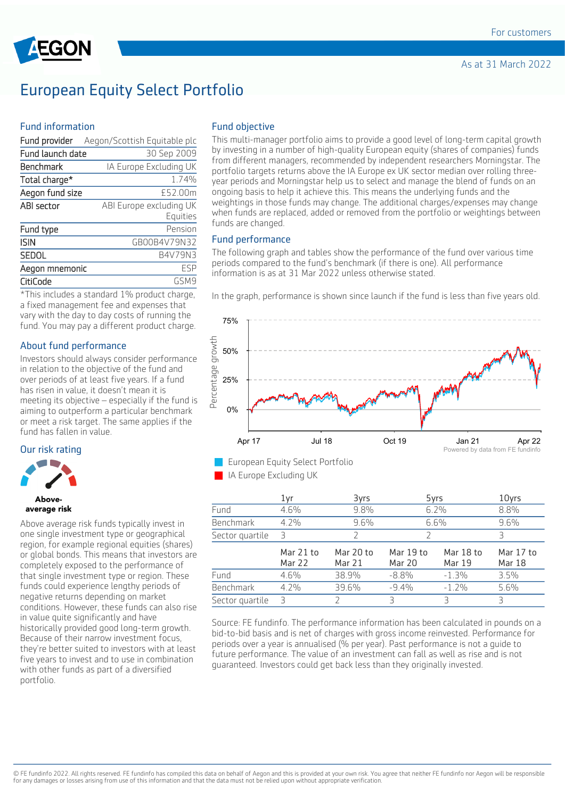

## European Equity Select Portfolio

#### Fund information

| Fund provider    | Aegon/Scottish Equitable plc |
|------------------|------------------------------|
| Fund launch date | 30 Sep 2009                  |
| Benchmark        | IA Europe Excluding UK       |
| Total charge*    | 1.74%                        |
| Aegon fund size  | £52.00m                      |
| ABI sector       | ABI Europe excluding UK      |
|                  | Equities                     |
| Fund type        | Pension                      |
| <b>ISIN</b>      | GB00B4V79N32                 |
| <b>SEDOL</b>     | B4V79N3                      |
| Aegon mnemonic   | FSP                          |
| CitiCode         | GSM9                         |

\*This includes a standard 1% product charge, a fixed management fee and expenses that vary with the day to day costs of running the fund. You may pay a different product charge.

#### About fund performance

Investors should always consider performance in relation to the objective of the fund and over periods of at least five years. If a fund has risen in value, it doesn't mean it is meeting its objective – especially if the fund is aiming to outperform a particular benchmark or meet a risk target. The same applies if the fund has fallen in value.

#### Our risk rating



#### **Ahove** average risk

Above average risk funds typically invest in one single investment type or geographical region, for example regional equities (shares) or global bonds. This means that investors are completely exposed to the performance of that single investment type or region. These funds could experience lengthy periods of negative returns depending on market conditions. However, these funds can also rise in value quite significantly and have historically provided good long-term growth. Because of their narrow investment focus, they're better suited to investors with at least five years to invest and to use in combination with other funds as part of a diversified portfolio.

#### Fund objective

This multi-manager portfolio aims to provide a good level of long-term capital growth by investing in a number of high-quality European equity (shares of companies) funds from different managers, recommended by independent researchers Morningstar. The portfolio targets returns above the IA Europe ex UK sector median over rolling threeyear periods and Morningstar help us to select and manage the blend of funds on an ongoing basis to help it achieve this. This means the underlying funds and the weightings in those funds may change. The additional charges/expenses may change when funds are replaced, added or removed from the portfolio or weightings between funds are changed.

#### Fund performance

The following graph and tables show the performance of the fund over various time periods compared to the fund's benchmark (if there is one). All performance information is as at 31 Mar 2022 unless otherwise stated.

In the graph, performance is shown since launch if the fund is less than five years old.



**European Equity Select Portfolio** 

**I** IA Europe Excluding UK

|                  | 1yr                        | 3yrs                | 5yrs                       |                            | 10yrs                      |
|------------------|----------------------------|---------------------|----------------------------|----------------------------|----------------------------|
| Fund             | 4.6%                       | 9.8%                |                            | 6.2%                       | 8.8%                       |
| <b>Benchmark</b> | 4.2%                       | 9.6%                | 6.6%                       |                            | 9.6%                       |
| Sector quartile  | R                          | 7                   |                            |                            | Р                          |
|                  | Mar 21 to<br><b>Mar 22</b> | Mar 20 to<br>Mar 21 | Mar 19 to<br><b>Mar 20</b> | Mar 18 to<br><b>Mar 19</b> | Mar 17 to<br><b>Mar 18</b> |
| Fund             | 4.6%                       | 38.9%               | $-8.8%$                    | $-1.3%$                    | 3.5%                       |
| Benchmark        | 4.2%                       | 39.6%               | $-9.4%$                    | $-1.2%$                    | 5.6%                       |
| Sector quartile  | Β                          |                     | ₹                          | Ρ                          | Ρ                          |

Source: FE fundinfo. The performance information has been calculated in pounds on a bid-to-bid basis and is net of charges with gross income reinvested. Performance for periods over a year is annualised (% per year). Past performance is not a guide to future performance. The value of an investment can fall as well as rise and is not guaranteed. Investors could get back less than they originally invested.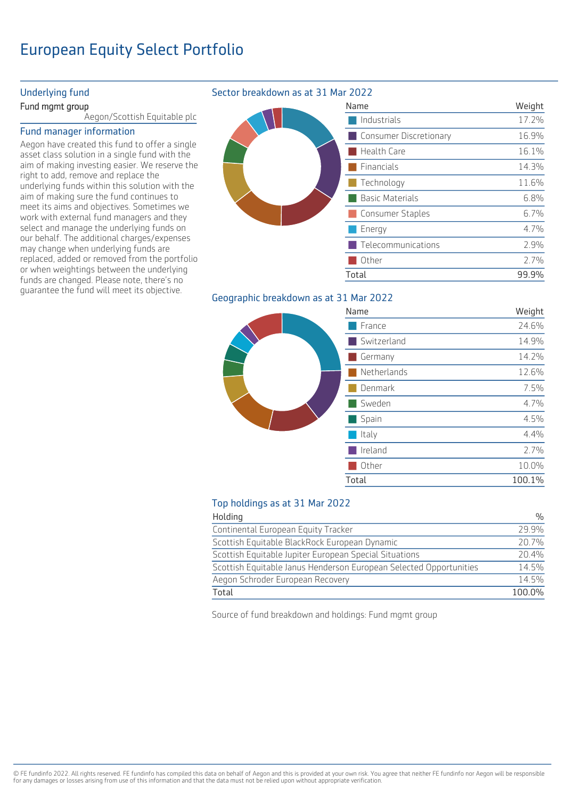# European Equity Select Portfolio

#### Underlying fund

#### Fund mgmt group

Aegon/Scottish Equitable plc

#### Fund manager information

Aegon have created this fund to offer a single asset class solution in a single fund with the aim of making investing easier. We reserve the right to add, remove and replace the underlying funds within this solution with the aim of making sure the fund continues to meet its aims and objectives. Sometimes we work with external fund managers and they select and manage the underlying funds on our behalf. The additional charges/expenses may change when underlying funds are replaced, added or removed from the portfolio or when weightings between the underlying funds are changed. Please note, there's no guarantee the fund will meet its objective.

### Sector breakdown as at 31 Mar 2022

| ivan                   |
|------------------------|
|                        |
| <b>Service Service</b> |
|                        |
|                        |
|                        |
|                        |
|                        |
|                        |
| D                      |
|                        |
| $T_{\Omega}$ +         |

## me **Weight** Industrials 17.2% Consumer Discretionary 16.9% Health Care 16.1% Financials 14.3% Technology 11.6% Basic Materials 6.8% Consumer Staples 6.7% Energy 4.7% Telecommunications 2.9% Other 2.7% Total 99.9%

## Geographic breakdown as at 31 Mar 2022

|  | Name        | Weight |
|--|-------------|--------|
|  | France      | 24.6%  |
|  | Switzerland | 14.9%  |
|  | Germany     | 14.2%  |
|  | Netherlands | 12.6%  |
|  | Denmark     | 7.5%   |
|  | Sweden      | 4.7%   |
|  | Spain       | 4.5%   |
|  | Italy       | 4.4%   |
|  | Ireland     | 2.7%   |
|  | Other       | 10.0%  |
|  | Total       | 100.1% |
|  |             |        |

### Top holdings as at 31 Mar 2022

| Holding                                                            | $\frac{0}{0}$ |
|--------------------------------------------------------------------|---------------|
| Continental European Equity Tracker                                | 29 9%         |
| Scottish Equitable BlackRock European Dynamic                      | 20.7%         |
| Scottish Equitable Jupiter European Special Situations             | 20.4%         |
| Scottish Equitable Janus Henderson European Selected Opportunities | 14.5%         |
| Aegon Schroder European Recovery                                   | 14.5%         |
| Total                                                              | 100.0%        |

Source of fund breakdown and holdings: Fund mgmt group